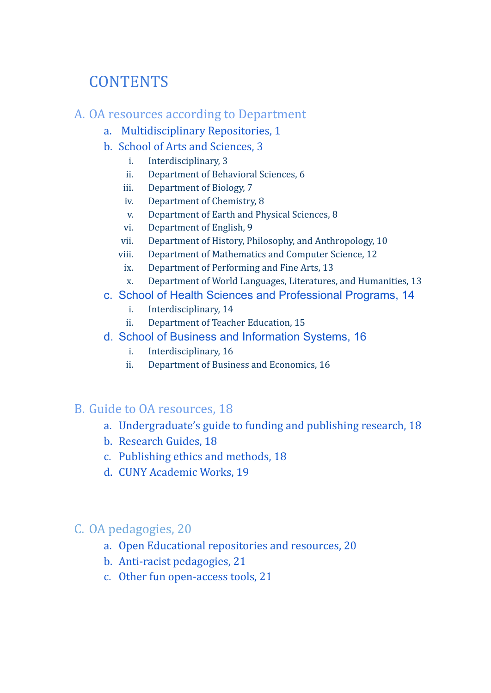# **CONTENTS**

#### A. OA resources according to Department

- a. Multidisciplinary Repositories, 1
- b. School of Arts and Sciences, 3
	- i. Interdisciplinary, 3
	- ii. Department of Behavioral Sciences, 6
	- iii. Department of Biology, 7
	- iv. Department of Chemistry, 8
	- v. Department of Earth and Physical Sciences, 8
	- vi. Department of English, 9
	- vii. Department of History, Philosophy, and Anthropology, 10
	- viii. Department of Mathematics and Computer Science, 12
		- ix. Department of Performing and Fine Arts, 13
		- x. Department of World Languages, Literatures, and Humanities, 13
- c. School of Health Sciences and Professional Programs, 14
	- i. Interdisciplinary, 14
	- ii. Department of Teacher Education, 15
- d. School of Business and Information Systems, 16
	- i. Interdisciplinary, 16
	- ii. Department of Business and Economics, 16

### B. Guide to OA resources, 18

- a. Undergraduate's guide to funding and publishing research, 18
- b. Research Guides, 18
- c. Publishing ethics and methods, 18
- d. CUNY Academic Works, 19

## C. OA pedagogies, 20

- a. Open Educational repositories and resources, 20
- b. Anti-racist pedagogies, 21
- c. Other fun open-access tools, 21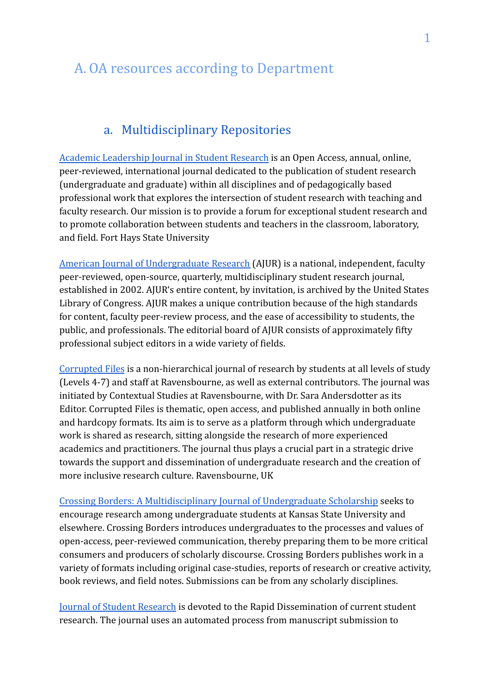# A. OA resources according to Department

### a. Multidisciplinary Repositories

[Academic Leadership Journal in Student Research](https://scholars.fhsu.edu/aljsr/) is an Open Access, annual, online, peer-reviewed, international journal dedicated to the publication of student research (undergraduate and graduate) within all disciplines and of pedagogically based professional work that explores the intersection of student research with teaching and faculty research. Our mission is to provide a forum for exceptional student research and to promote collaboration between students and teachers in the classroom, laboratory, and field. Fort Hays State University

[American Journal of Undergraduate Research](http://www.ajuronline.org/) (AJUR) is a national, independent, faculty peer-reviewed, open-source, quarterly, multidisciplinary student research journal, established in 2002. AJUR's entire content, by invitation, is archived by the United States Library of Congress. AJUR makes a unique contribution because of the high standards for content, faculty peer-review process, and the ease of accessibility to students, the public, and professionals. The editorial board of AJUR consists of approximately fifty professional subject editors in a wide variety of fields.

[Corrupted Files](http://www.corruptedfiles.org.uk/) is a non-hierarchical journal of research by students at all levels of study (Levels 4-7) and staff at Ravensbourne, as well as external contributors. The journal was initiated by Contextual Studies at Ravensbourne, with Dr. Sara Andersdotter as its Editor. Corrupted Files is thematic, open access, and published annually in both online and hardcopy formats. Its aim is to serve as a platform through which undergraduate work is shared as research, sitting alongside the research of more experienced academics and practitioners. The journal thus plays a crucial part in a strategic drive towards the support and dissemination of undergraduate research and the creation of more inclusive research culture. Ravensbourne, UK

[Crossing Borders: A Multidisciplinary Journal of Undergraduate Scholarship](https://newprairiepress.org/crossingborders/) seeks to encourage research among undergraduate students at Kansas State University and elsewhere. Crossing Borders introduces undergraduates to the processes and values of open-access, peer-reviewed communication, thereby preparing them to be more critical consumers and producers of scholarly discourse. Crossing Borders publishes work in a variety of formats including original case-studies, reports of research or creative activity, book reviews, and field notes. Submissions can be from any scholarly disciplines.

[Journal of Student Research](https://www.jofsr.org/index.php/path) is devoted to the Rapid Dissemination of current student research. The journal uses an automated process from manuscript submission to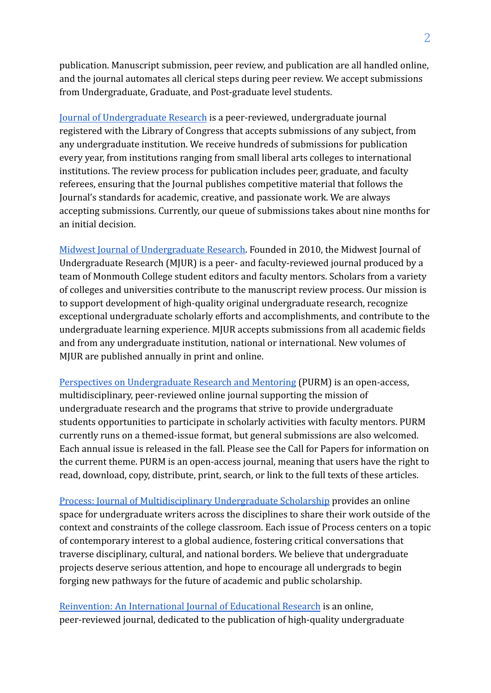publication. Manuscript submission, peer review, and publication are all handled online, and the journal automates all clerical steps during peer review. We accept submissions from Undergraduate, Graduate, and Post-graduate level students.

[Journal of Undergraduate Research](http://www.jurpress.org/) is a peer-reviewed, undergraduate journal registered with the Library of Congress that accepts submissions of any subject, from any undergraduate institution. We receive hundreds of submissions for publication every year, from institutions ranging from small liberal arts colleges to international institutions. The review process for publication includes peer, graduate, and faculty referees, ensuring that the Journal publishes competitive material that follows the Journal's standards for academic, creative, and passionate work. We are always accepting submissions. Currently, our queue of submissions takes about nine months for an initial decision.

[Midwest Journal of Undergraduate Research.](http://research.monm.edu/mjur/) Founded in 2010, the Midwest Journal of Undergraduate Research (MJUR) is a peer- and faculty-reviewed journal produced by a team of Monmouth College student editors and faculty mentors. Scholars from a variety of colleges and universities contribute to the manuscript review process. Our mission is to support development of high-quality original undergraduate research, recognize exceptional undergraduate scholarly efforts and accomplishments, and contribute to the undergraduate learning experience. MJUR accepts submissions from all academic fields and from any undergraduate institution, national or international. New volumes of MJUR are published annually in print and online.

[Perspectives on Undergraduate Research and Mentoring](https://www.elon.edu/u/academics/undergraduate-research/purm/) (PURM) is an open-access, multidisciplinary, peer-reviewed online journal supporting the mission of undergraduate research and the programs that strive to provide undergraduate students opportunities to participate in scholarly activities with faculty mentors. PURM currently runs on a themed-issue format, but general submissions are also welcomed. Each annual issue is released in the fall. Please see the Call for Papers for information on the current theme. PURM is an open-access journal, meaning that users have the right to read, download, copy, distribute, print, search, or link to the full texts of these articles.

[Process: Journal of Multidisciplinary Undergraduate Scholarship](https://www.processjmus.org/) provides an online space for undergraduate writers across the disciplines to share their work outside of the context and constraints of the college classroom. Each issue of Process centers on a topic of contemporary interest to a global audience, fostering critical conversations that traverse disciplinary, cultural, and national borders. We believe that undergraduate projects deserve serious attention, and hope to encourage all undergrads to begin forging new pathways for the future of academic and public scholarship.

[Reinvention: An International Journal of Educational Research](https://reinventionjournal.org/) is an online, peer-reviewed journal, dedicated to the publication of high-quality undergraduate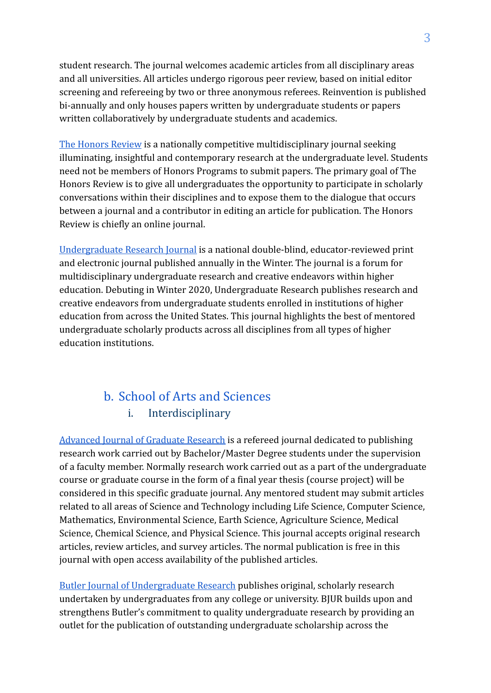student research. The journal welcomes academic articles from all disciplinary areas and all universities. All articles undergo rigorous peer review, based on initial editor screening and refereeing by two or three anonymous referees. Reinvention is published bi-annually and only houses papers written by undergraduate students or papers written collaboratively by undergraduate students and academics.

[The Honors Review](https://honorsreview.wordpress.com/) is a nationally competitive multidisciplinary journal seeking illuminating, insightful and contemporary research at the undergraduate level. Students need not be members of Honors Programs to submit papers. The primary goal of The Honors Review is to give all undergraduates the opportunity to participate in scholarly conversations within their disciplines and to expose them to the dialogue that occurs between a journal and a contributor in editing an article for publication. The Honors Review is chiefly an online journal.

[Undergraduate Research Journal](https://undergraduateresearch.org/) is a national double-blind, educator-reviewed print and electronic journal published annually in the Winter. The journal is a forum for multidisciplinary undergraduate research and creative endeavors within higher education. Debuting in Winter 2020, Undergraduate Research publishes research and creative endeavors from undergraduate students enrolled in institutions of higher education from across the United States. This journal highlights the best of mentored undergraduate scholarly products across all disciplines from all types of higher education institutions.

## b. School of Arts and Sciences i. Interdisciplinary

[Advanced Journal of Graduate Research](https://journals.aijr.in/index.php/ajgr) is a refereed journal dedicated to publishing research work carried out by Bachelor/Master Degree students under the supervision of a faculty member. Normally research work carried out as a part of the undergraduate course or graduate course in the form of a final year thesis (course project) will be considered in this specific graduate journal. Any mentored student may submit articles related to all areas of Science and Technology including Life Science, Computer Science, Mathematics, Environmental Science, Earth Science, Agriculture Science, Medical Science, Chemical Science, and Physical Science. This journal accepts original research articles, review articles, and survey articles. The normal publication is free in this journal with open access availability of the published articles.

[Butler Journal of Undergraduate Research](https://digitalcommons.butler.edu/bjur/) publishes original, scholarly research undertaken by undergraduates from any college or university. BJUR builds upon and strengthens Butler's commitment to quality undergraduate research by providing an outlet for the publication of outstanding undergraduate scholarship across the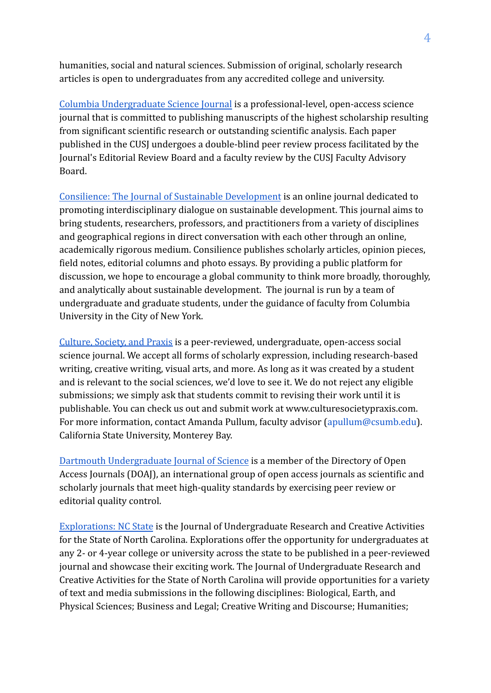humanities, social and natural sciences. Submission of original, scholarly research articles is open to undergraduates from any accredited college and university.

[Columbia Undergraduate Science Journal](https://cusj.columbia.edu/) is a professional-level, open-access science journal that is committed to publishing manuscripts of the highest scholarship resulting from significant scientific research or outstanding scientific analysis. Each paper published in the CUSJ undergoes a double-blind peer review process facilitated by the Journal's Editorial Review Board and a faculty review by the CUSJ Faculty Advisory Board.

[Consilience: The Journal of Sustainable Development](https://journals.library.columbia.edu/index.php/consilience/index) is an online journal dedicated to promoting interdisciplinary dialogue on sustainable development. This journal aims to bring students, researchers, professors, and practitioners from a variety of disciplines and geographical regions in direct conversation with each other through an online, academically rigorous medium. Consilience publishes scholarly articles, opinion pieces, field notes, editorial columns and photo essays. By providing a public platform for discussion, we hope to encourage a global community to think more broadly, thoroughly, and analytically about sustainable development. The journal is run by a team of undergraduate and graduate students, under the guidance of faculty from Columbia University in the City of New York.

[Culture, Society, and Praxis](https://digitalcommons.csumb.edu/csp/) is a peer-reviewed, undergraduate, open-access social science journal. We accept all forms of scholarly expression, including research-based writing, creative writing, visual arts, and more. As long as it was created by a student and is relevant to the social sciences, we'd love to see it. We do not reject any eligible submissions; we simply ask that students commit to revising their work until it is publishable. You can check us out and submit work at www.culturesocietypraxis.com. For more information, contact Amanda Pullum, faculty advisor (apullum@csumb.edu). California State University, Monterey Bay.

[Dartmouth Undergraduate Journal of Science](https://sites.dartmouth.edu/dujs/) is a member of the Directory of Open Access Journals (DOAJ), an international group of open access journals as scientific and scholarly journals that meet high-quality standards by exercising peer review or editorial quality control.

[Explorations: NC State](https://explorations.scholasticahq.com/) is the Journal of Undergraduate Research and Creative Activities for the State of North Carolina. Explorations offer the opportunity for undergraduates at any 2- or 4-year college or university across the state to be published in a peer-reviewed journal and showcase their exciting work. The Journal of Undergraduate Research and Creative Activities for the State of North Carolina will provide opportunities for a variety of text and media submissions in the following disciplines: Biological, Earth, and Physical Sciences; Business and Legal; Creative Writing and Discourse; Humanities;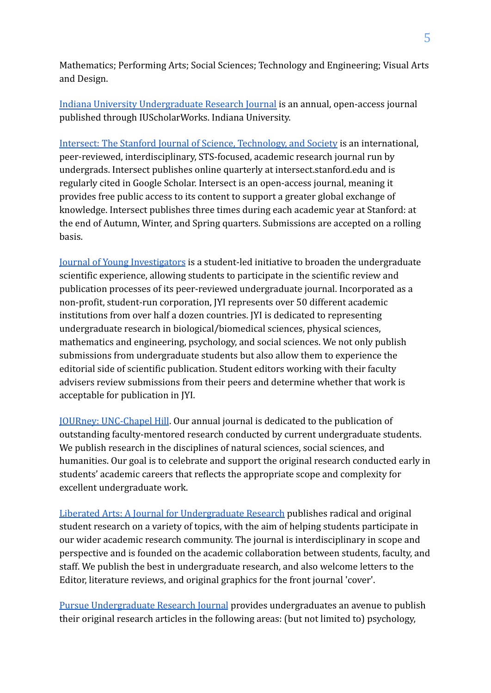Mathematics; Performing Arts; Social Sciences; Technology and Engineering; Visual Arts and Design.

[Indiana University Undergraduate Research Journal](https://iujur.iu.edu/) is an annual, open-access journal published through IUScholarWorks. Indiana University.

[Intersect: The Stanford Journal of Science, Technology, and Society](http://ojs.stanford.edu/ojs/index.php/intersect/index) is an international, peer-reviewed, interdisciplinary, STS-focused, academic research journal run by undergrads. Intersect publishes online quarterly at intersect.stanford.edu and is regularly cited in Google Scholar. Intersect is an open-access journal, meaning it provides free public access to its content to support a greater global exchange of knowledge. Intersect publishes three times during each academic year at Stanford: at the end of Autumn, Winter, and Spring quarters. Submissions are accepted on a rolling basis.

[Journal of Young Investigators](https://www.jyi.org/) is a student-led initiative to broaden the undergraduate scientific experience, allowing students to participate in the scientific review and publication processes of its peer-reviewed undergraduate journal. Incorporated as a non-profit, student-run corporation, JYI represents over 50 different academic institutions from over half a dozen countries. JYI is dedicated to representing undergraduate research in biological/biomedical sciences, physical sciences, mathematics and engineering, psychology, and social sciences. We not only publish submissions from undergraduate students but also allow them to experience the editorial side of scientific publication. Student editors working with their faculty advisers review submissions from their peers and determine whether that work is acceptable for publication in JYI.

[JOURney: UNC-Chapel Hill](http://uncjourney.unc.edu/). Our annual journal is dedicated to the publication of outstanding faculty-mentored research conducted by current undergraduate students. We publish research in the disciplines of natural sciences, social sciences, and humanities. Our goal is to celebrate and support the original research conducted early in students' academic careers that reflects the appropriate scope and complexity for excellent undergraduate work.

[Liberated Arts: A Journal for Undergraduate Research](https://ojs.lib.uwo.ca/index.php/lajur) publishes radical and original student research on a variety of topics, with the aim of helping students participate in our wider academic research community. The journal is interdisciplinary in scope and perspective and is founded on the academic collaboration between students, faculty, and staff. We publish the best in undergraduate research, and also welcome letters to the Editor, literature reviews, and original graphics for the front journal 'cover'.

[Pursue Undergraduate Research Journal](https://www.pvamu.edu/pursue/) provides undergraduates an avenue to publish their original research articles in the following areas: (but not limited to) psychology,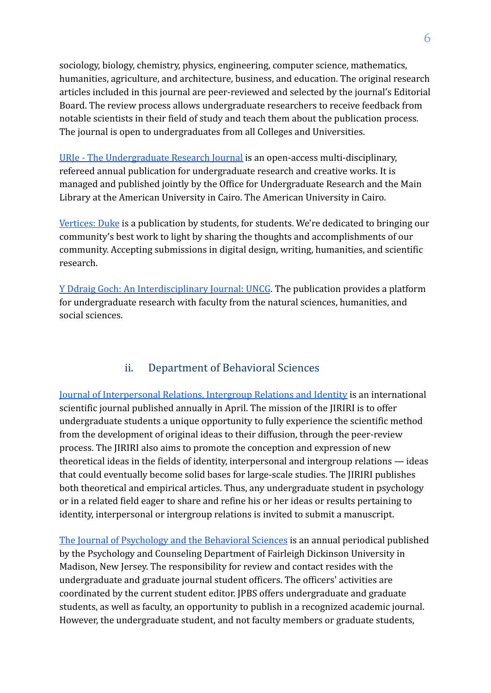sociology, biology, chemistry, physics, engineering, computer science, mathematics, humanities, agriculture, and architecture, business, and education. The original research articles included in this journal are peer-reviewed and selected by the journal's Editorial Board. The review process allows undergraduate researchers to receive feedback from notable scientists in their field of study and teach them about the publication process. The journal is open to undergraduates from all Colleges and Universities.

[URJe - The Undergraduate Research Journal](https://urje.aucegypt.edu/) is an open-access multi-disciplinary, refereed annual publication for undergraduate research and creative works. It is managed and published jointly by the Office for Undergraduate Research and the Main Library at the American University in Cairo. The American University in Cairo.

[Vertices: Duke](https://www.dukevertices.org/) is a publication by students, for students. We're dedicated to bringing our community's best work to light by sharing the thoughts and accomplishments of our community. Accepting submissions in digital design, writing, humanities, and scientific research.

[Y Ddraig Goch: An Interdisciplinary Journal: UNCG](https://honors.appstate.edu/call-papers-y-ddraig-goch). The publication provides a platform for undergraduate research with faculty from the natural sciences, humanities, and social sciences.

#### ii. Department of Behavioral Sciences

[Journal of Interpersonal Relations, Intergroup Relations and Identity](https://jiriri.ca/) is an international scientific journal published annually in April. The mission of the JIRIRI is to offer undergraduate students a unique opportunity to fully experience the scientific method from the development of original ideas to their diffusion, through the peer-review process. The JIRIRI also aims to promote the conception and expression of new theoretical ideas in the fields of identity, interpersonal and intergroup relations — ideas that could eventually become solid bases for large-scale studies. The JIRIRI publishes both theoretical and empirical articles. Thus, any undergraduate student in psychology or in a related field eager to share and refine his or her ideas or results pertaining to identity, interpersonal or intergroup relations is invited to submit a manuscript.

[The Journal of Psychology and the Behavioral Sciences](https://view2.fdu.edu/academics/becton-college/psychology-and-counseling/jpbs/) is an annual periodical published by the Psychology and Counseling Department of Fairleigh Dickinson University in Madison, New Jersey. The responsibility for review and contact resides with the undergraduate and graduate journal student officers. The officers' activities are coordinated by the current student editor. JPBS offers undergraduate and graduate students, as well as faculty, an opportunity to publish in a recognized academic journal. However, the undergraduate student, and not faculty members or graduate students,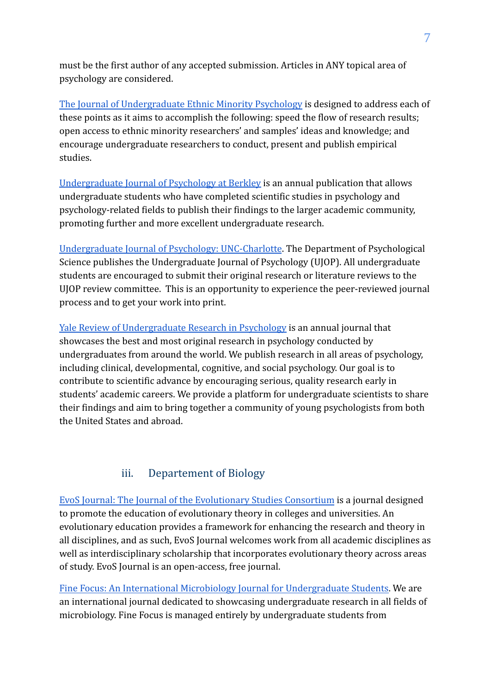must be the first author of any accepted submission. Articles in ANY topical area of psychology are considered.

[The Journal of Undergraduate Ethnic Minority Psychology](http://www.juempsychology.com/) is designed to address each of these points as it aims to accomplish the following: speed the flow of research results; open access to ethnic minority researchers' and samples' ideas and knowledge; and encourage undergraduate researchers to conduct, present and publish empirical studies.

[Undergraduate Journal of Psychology at Berkley](http://ujpb.org/index.html) is an annual publication that allows undergraduate students who have completed scientific studies in psychology and psychology-related fields to publish their findings to the larger academic community, promoting further and more excellent undergraduate research.

[Undergraduate Journal of Psychology: UNC-Charlotte](https://psych.uncc.edu/undergraduate-program/undergraduate-journal-psychology). The Department of Psychological Science publishes the Undergraduate Journal of Psychology (UJOP). All undergraduate students are encouraged to submit their original research or literature reviews to the UJOP review committee. This is an opportunity to experience the peer-reviewed journal process and to get your work into print.

[Yale Review of Undergraduate Research in Psychology](http://campuspress.yale.edu/yrurp/) is an annual journal that showcases the best and most original research in psychology conducted by undergraduates from around the world. We publish research in all areas of psychology, including clinical, developmental, cognitive, and social psychology. Our goal is to contribute to scientific advance by encouraging serious, quality research early in students' academic careers. We provide a platform for undergraduate scientists to share their findings and aim to bring together a community of young psychologists from both the United States and abroad.

#### iii. Departement of Biology

[EvoS Journal: The Journal of the Evolutionary Studies Consortium](https://evostudies.org/evos-journal/about-the-journal/) is a journal designed to promote the education of evolutionary theory in colleges and universities. An evolutionary education provides a framework for enhancing the research and theory in all disciplines, and as such, EvoS Journal welcomes work from all academic disciplines as well as interdisciplinary scholarship that incorporates evolutionary theory across areas of study. EvoS Journal is an open-access, free journal.

[Fine Focus: An International Microbiology Journal for Undergraduate Students.](https://www.finefocus.org/) We are an international journal dedicated to showcasing undergraduate research in all fields of microbiology. Fine Focus is managed entirely by undergraduate students from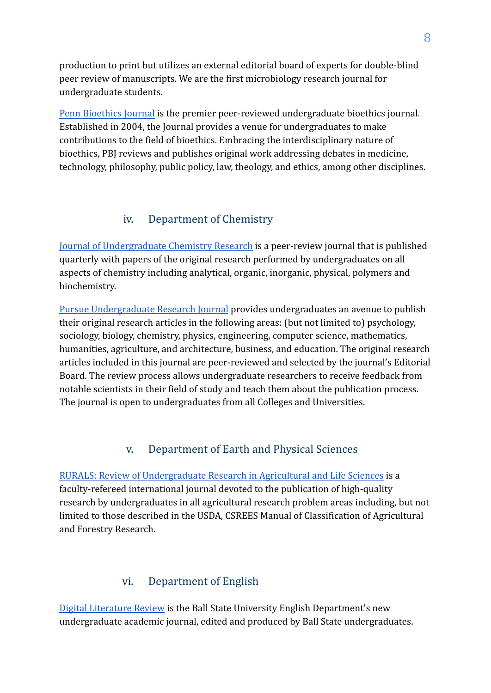production to print but utilizes an external editorial board of experts for double-blind peer review of manuscripts. We are the first microbiology research journal for undergraduate students.

[Penn Bioethics Journal](http://bioethicsjournal.com/) is the premier peer-reviewed undergraduate bioethics journal. Established in 2004, the Journal provides a venue for undergraduates to make contributions to the field of bioethics. Embracing the interdisciplinary nature of bioethics, PBJ reviews and publishes original work addressing debates in medicine, technology, philosophy, public policy, law, theology, and ethics, among other disciplines.

#### iv. Department of Chemistry

[Journal of Undergraduate Chemistry Research](https://www.vmi.edu/academics/departments/chemistry/journal-of-undergraduate-chemistry-research/) is a peer-review journal that is published quarterly with papers of the original research performed by undergraduates on all aspects of chemistry including analytical, organic, inorganic, physical, polymers and biochemistry.

[Pursue Undergraduate Research Journal](https://www.pvamu.edu/pursue/) provides undergraduates an avenue to publish their original research articles in the following areas: (but not limited to) psychology, sociology, biology, chemistry, physics, engineering, computer science, mathematics, humanities, agriculture, and architecture, business, and education. The original research articles included in this journal are peer-reviewed and selected by the journal's Editorial Board. The review process allows undergraduate researchers to receive feedback from notable scientists in their field of study and teach them about the publication process. The journal is open to undergraduates from all Colleges and Universities.

#### v. Department of Earth and Physical Sciences

[RURALS: Review of Undergraduate Research in Agricultural and Life Sciences](https://digitalcommons.unl.edu/rurals/) is a faculty-refereed international journal devoted to the publication of high-quality research by undergraduates in all agricultural research problem areas including, but not limited to those described in the USDA, CSREES Manual of Classification of Agricultural and Forestry Research.

#### vi. Department of English

[Digital Literature Review](http://bsu.edu/dlr) is the Ball State University English Department's new undergraduate academic journal, edited and produced by Ball State undergraduates.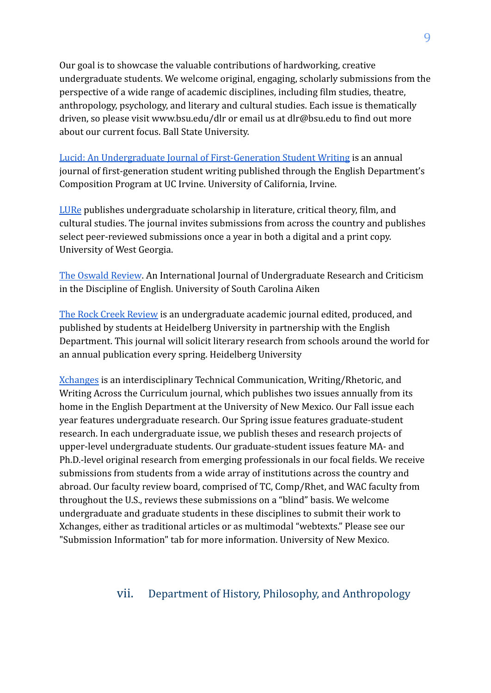Our goal is to showcase the valuable contributions of hardworking, creative undergraduate students. We welcome original, engaging, scholarly submissions from the perspective of a wide range of academic disciplines, including film studies, theatre, anthropology, psychology, and literary and cultural studies. Each issue is thematically driven, so please visit www.bsu.edu/dlr or email us at dlr@bsu.edu to find out more about our current focus. Ball State University.

[Lucid: An Undergraduate Journal of First-Generation Student Writing](https://sites.uci.edu/lucid/) is an annual journal of first-generation student writing published through the English Department's Composition Program at UC Irvine. University of California, Irvine.

[LURe](https://www.westga.edu/lure/) publishes undergraduate scholarship in literature, critical theory, film, and cultural studies. The journal invites submissions from across the country and publishes select peer-reviewed submissions once a year in both a digital and a print copy. University of West Georgia.

[The Oswald Review](https://scholarcommons.sc.edu/tor/). An International Journal of Undergraduate Research and Criticism in the Discipline of English. University of South Carolina Aiken

[The Rock Creek Review](https://inside.heidelberg.edu/departments-offices/english/rock-creek-review) is an undergraduate academic journal edited, produced, and published by students at Heidelberg University in partnership with the English Department. This journal will solicit literary research from schools around the world for an annual publication every spring. Heidelberg University

[Xchanges](http://www.xchanges.org/) is an interdisciplinary Technical Communication, Writing/Rhetoric, and Writing Across the Curriculum journal, which publishes two issues annually from its home in the English Department at the University of New Mexico. Our Fall issue each year features undergraduate research. Our Spring issue features graduate-student research. In each undergraduate issue, we publish theses and research projects of upper-level undergraduate students. Our graduate-student issues feature MA- and Ph.D.-level original research from emerging professionals in our focal fields. We receive submissions from students from a wide array of institutions across the country and abroad. Our faculty review board, comprised of TC, Comp/Rhet, and WAC faculty from throughout the U.S., reviews these submissions on a "blind" basis. We welcome undergraduate and graduate students in these disciplines to submit their work to Xchanges, either as traditional articles or as multimodal "webtexts." Please see our "Submission Information" tab for more information. University of New Mexico.

#### vii. Department of History, Philosophy, and Anthropology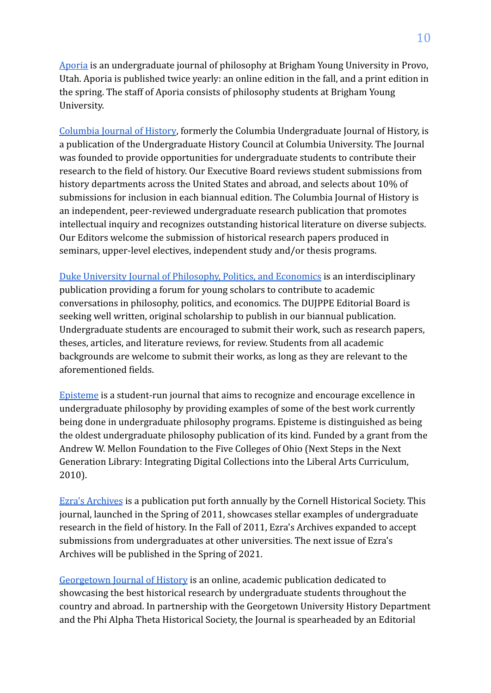[Aporia](http://aporia.byu.edu/site.php?id=about) is an undergraduate journal of philosophy at Brigham Young University in Provo, Utah. Aporia is published twice yearly: an online edition in the fall, and a print edition in the spring. The staff of Aporia consists of philosophy students at Brigham Young University.

[Columbia Journal of History](https://www.columbiahistoryjournal.com/), formerly the Columbia Undergraduate Journal of History, is a publication of the Undergraduate History Council at Columbia University. The Journal was founded to provide opportunities for undergraduate students to contribute their research to the field of history. Our Executive Board reviews student submissions from history departments across the United States and abroad, and selects about 10% of submissions for inclusion in each biannual edition. The Columbia Journal of History is an independent, peer-reviewed undergraduate research publication that promotes intellectual inquiry and recognizes outstanding historical literature on diverse subjects. Our Editors welcome the submission of historical research papers produced in seminars, upper-level electives, independent study and/or thesis programs.

[Duke University Journal of Philosophy, Politics, and Economics](https://dukejppe.com/) is an interdisciplinary publication providing a forum for young scholars to contribute to academic conversations in philosophy, politics, and economics. The DUJPPE Editorial Board is seeking well written, original scholarship to publish in our biannual publication. Undergraduate students are encouraged to submit their work, such as research papers, theses, articles, and literature reviews, for review. Students from all academic backgrounds are welcome to submit their works, as long as they are relevant to the aforementioned fields.

[Episteme](https://digitalcommons.denison.edu/episteme/) is a student-run journal that aims to recognize and encourage excellence in undergraduate philosophy by providing examples of some of the best work currently being done in undergraduate philosophy programs. Episteme is distinguished as being the oldest undergraduate philosophy publication of its kind. Funded by a grant from the Andrew W. Mellon Foundation to the Five Colleges of Ohio (Next Steps in the Next Generation Library: Integrating Digital Collections into the Liberal Arts Curriculum, 2010).

[Ezra's Archives](https://history.cornell.edu/ezras-archives) is a publication put forth annually by the Cornell Historical Society. This journal, launched in the Spring of 2011, showcases stellar examples of undergraduate research in the field of history. In the Fall of 2011, Ezra's Archives expanded to accept submissions from undergraduates at other universities. The next issue of Ezra's Archives will be published in the Spring of 2021.

[Georgetown Journal of History](https://georgetownhistoryjournal.org/) is an online, academic publication dedicated to showcasing the best historical research by undergraduate students throughout the country and abroad. In partnership with the Georgetown University History Department and the Phi Alpha Theta Historical Society, the Journal is spearheaded by an Editorial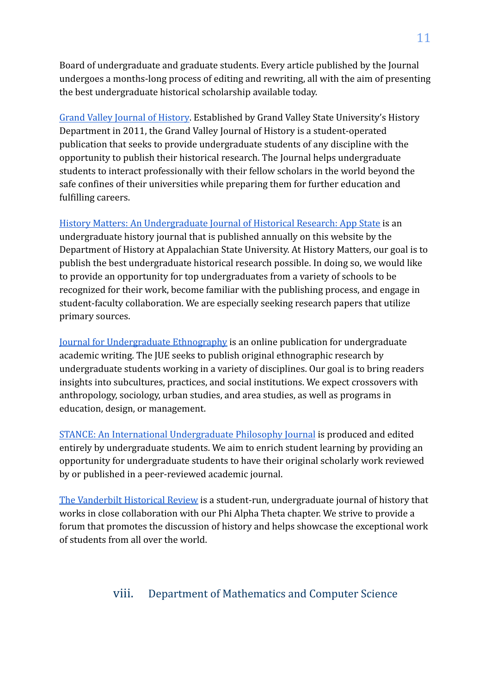Board of undergraduate and graduate students. Every article published by the Journal undergoes a months-long process of editing and rewriting, all with the aim of presenting the best undergraduate historical scholarship available today.

[Grand Valley Journal of History](https://scholarworks.gvsu.edu/gvjh/). Established by Grand Valley State University's History Department in 2011, the Grand Valley Journal of History is a student-operated publication that seeks to provide undergraduate students of any discipline with the opportunity to publish their historical research. The Journal helps undergraduate students to interact professionally with their fellow scholars in the world beyond the safe confines of their universities while preparing them for further education and fulfilling careers.

[History Matters: An Undergraduate Journal of Historical Research: App State](https://historymatters.appstate.edu/) is an undergraduate history journal that is published annually on this website by the Department of History at Appalachian State University. At History Matters, our goal is to publish the best undergraduate historical research possible. In doing so, we would like to provide an opportunity for top undergraduates from a variety of schools to be recognized for their work, become familiar with the publishing process, and engage in student-faculty collaboration. We are especially seeking research papers that utilize primary sources.

[Journal for Undergraduate Ethnography](https://ojs.library.dal.ca/JUE/) is an online publication for undergraduate academic writing. The JUE seeks to publish original ethnographic research by undergraduate students working in a variety of disciplines. Our goal is to bring readers insights into subcultures, practices, and social institutions. We expect crossovers with anthropology, sociology, urban studies, and area studies, as well as programs in education, design, or management.

[STANCE: An International Undergraduate Philosophy Journal](https://www.stancephilosophy.com/) is produced and edited entirely by undergraduate students. We aim to enrich student learning by providing an opportunity for undergraduate students to have their original scholarly work reviewed by or published in a peer-reviewed academic journal.

[The Vanderbilt Historical Review](https://www.vanderbilthistoricalreview.com/) is a student-run, undergraduate journal of history that works in close collaboration with our Phi Alpha Theta chapter. We strive to provide a forum that promotes the discussion of history and helps showcase the exceptional work of students from all over the world.

### viii. Department of Mathematics and Computer Science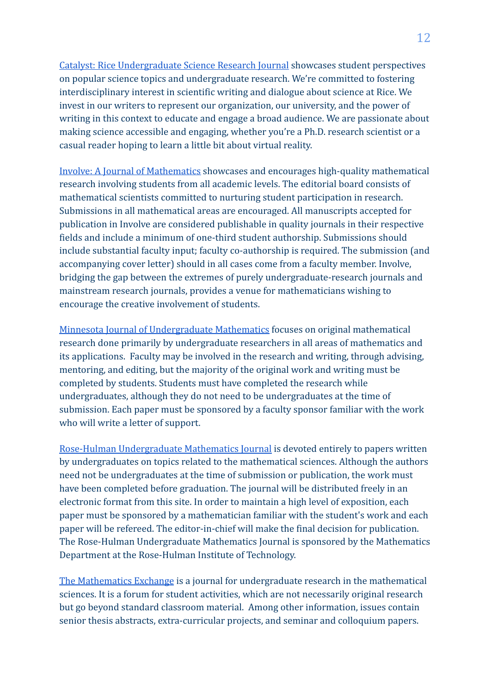[Catalyst: Rice Undergraduate Science Research Journal](http://ricecatalyst.org/#welcome-1) showcases student perspectives on popular science topics and undergraduate research. We're committed to fostering interdisciplinary interest in scientific writing and dialogue about science at Rice. We invest in our writers to represent our organization, our university, and the power of writing in this context to educate and engage a broad audience. We are passionate about making science accessible and engaging, whether you're a Ph.D. research scientist or a casual reader hoping to learn a little bit about virtual reality.

[Involve: A Journal of Mathematics](https://msp.org/involve/about/cover/cover.html) showcases and encourages high-quality mathematical research involving students from all academic levels. The editorial board consists of mathematical scientists committed to nurturing student participation in research. Submissions in all mathematical areas are encouraged. All manuscripts accepted for publication in Involve are considered publishable in quality journals in their respective fields and include a minimum of one-third student authorship. Submissions should include substantial faculty input; faculty co-authorship is required. The submission (and accompanying cover letter) should in all cases come from a faculty member. Involve, bridging the gap between the extremes of purely undergraduate-research journals and mainstream research journals, provides a venue for mathematicians wishing to encourage the creative involvement of students.

[Minnesota Journal of Undergraduate Mathematics](https://mjum.math.umn.edu/index.php/mjum/index) focuses on original mathematical research done primarily by undergraduate researchers in all areas of mathematics and its applications. Faculty may be involved in the research and writing, through advising, mentoring, and editing, but the majority of the original work and writing must be completed by students. Students must have completed the research while undergraduates, although they do not need to be undergraduates at the time of submission. Each paper must be sponsored by a faculty sponsor familiar with the work who will write a letter of support.

[Rose-Hulman Undergraduate Mathematics Journal](https://scholar.rose-hulman.edu/rhumj/) is devoted entirely to papers written by undergraduates on topics related to the mathematical sciences. Although the authors need not be undergraduates at the time of submission or publication, the work must have been completed before graduation. The journal will be distributed freely in an electronic format from this site. In order to maintain a high level of exposition, each paper must be sponsored by a mathematician familiar with the student's work and each paper will be refereed. The editor-in-chief will make the final decision for publication. The Rose-Hulman Undergraduate Mathematics Journal is sponsored by the Mathematics Department at the Rose-Hulman Institute of Technology.

[The Mathematics Exchange](https://lib.bsu.edu/beneficencepress/mathexchange/) is a journal for undergraduate research in the mathematical sciences. It is a forum for student activities, which are not necessarily original research but go beyond standard classroom material. Among other information, issues contain senior thesis abstracts, extra-curricular projects, and seminar and colloquium papers.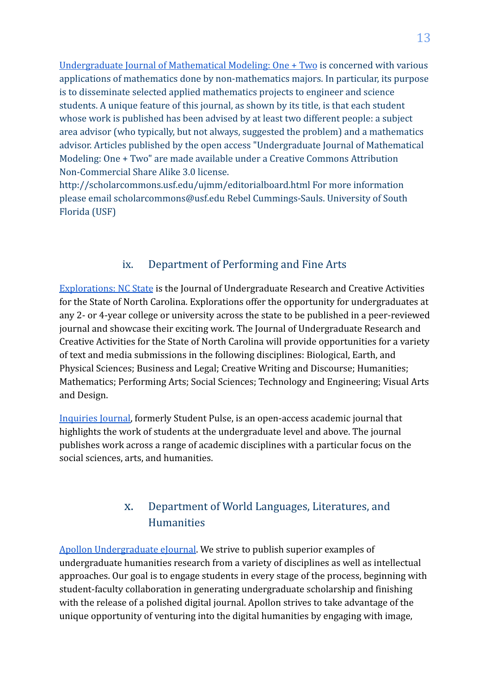[Undergraduate Journal of Mathematical Modeling: One + Two](http://scholarcommons.usf.edu/ujmm/) is concerned with various applications of mathematics done by non-mathematics majors. In particular, its purpose is to disseminate selected applied mathematics projects to engineer and science students. A unique feature of this journal, as shown by its title, is that each student whose work is published has been advised by at least two different people: a subject area advisor (who typically, but not always, suggested the problem) and a mathematics advisor. Articles published by the open access "Undergraduate Journal of Mathematical Modeling: One + Two" are made available under a Creative Commons Attribution Non-Commercial Share Alike 3.0 license.

http://scholarcommons.usf.edu/ujmm/editorialboard.html For more information please email scholarcommons@usf.edu Rebel Cummings-Sauls. University of South Florida (USF)

#### ix. Department of Performing and Fine Arts

[Explorations: NC State](https://explorations.scholasticahq.com/) is the Journal of Undergraduate Research and Creative Activities for the State of North Carolina. Explorations offer the opportunity for undergraduates at any 2- or 4-year college or university across the state to be published in a peer-reviewed journal and showcase their exciting work. The Journal of Undergraduate Research and Creative Activities for the State of North Carolina will provide opportunities for a variety of text and media submissions in the following disciplines: Biological, Earth, and Physical Sciences; Business and Legal; Creative Writing and Discourse; Humanities; Mathematics; Performing Arts; Social Sciences; Technology and Engineering; Visual Arts and Design.

[Inquiries Journal,](http://www.inquiriesjournal.com/) formerly Student Pulse, is an open-access academic journal that highlights the work of students at the undergraduate level and above. The journal publishes work across a range of academic disciplines with a particular focus on the social sciences, arts, and humanities.

### x. Department of World Languages, Literatures, and Humanities

[Apollon Undergraduate eJournal](http://www.apollonejournal.org/). We strive to publish superior examples of undergraduate humanities research from a variety of disciplines as well as intellectual approaches. Our goal is to engage students in every stage of the process, beginning with student-faculty collaboration in generating undergraduate scholarship and finishing with the release of a polished digital journal. Apollon strives to take advantage of the unique opportunity of venturing into the digital humanities by engaging with image,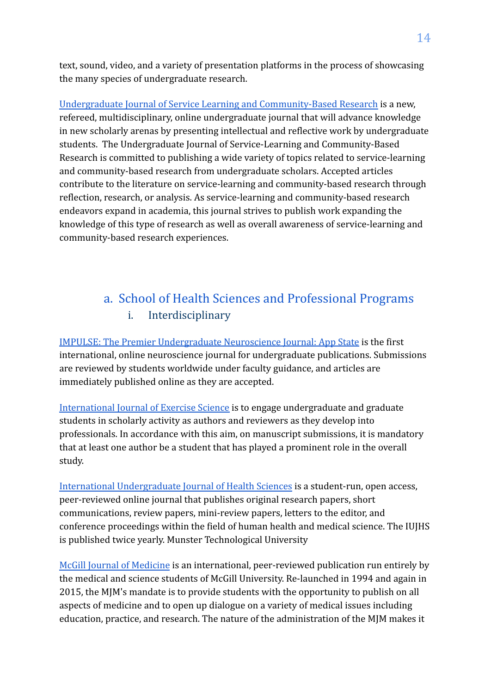text, sound, video, and a variety of presentation platforms in the process of showcasing the many species of undergraduate research.

[Undergraduate Journal of Service Learning and Community-Based Research](https://ujslcbr.org/index.php/ujslcbr) is a new, refereed, multidisciplinary, online undergraduate journal that will advance knowledge in new scholarly arenas by presenting intellectual and reflective work by undergraduate students. The Undergraduate Journal of Service-Learning and Community-Based Research is committed to publishing a wide variety of topics related to service-learning and community-based research from undergraduate scholars. Accepted articles contribute to the literature on service-learning and community-based research through reflection, research, or analysis. As service-learning and community-based research endeavors expand in academia, this journal strives to publish work expanding the knowledge of this type of research as well as overall awareness of service-learning and community-based research experiences.

# a. School of Health Sciences and Professional Programs i. Interdisciplinary

[IMPULSE: The Premier Undergraduate Neuroscience Journal: App State](https://impulse.appstate.edu/) is the first international, online neuroscience journal for undergraduate publications. Submissions are reviewed by students worldwide under faculty guidance, and articles are immediately published online as they are accepted.

[International Journal of Exercise Science](https://digitalcommons.wku.edu/ijes/) is to engage undergraduate and graduate students in scholarly activity as authors and reviewers as they develop into professionals. In accordance with this aim, on manuscript submissions, it is mandatory that at least one author be a student that has played a prominent role in the overall study.

[International Undergraduate Journal of Health Sciences](https://sword.cit.ie/iujhs/) is a student-run, open access, peer-reviewed online journal that publishes original research papers, short communications, review papers, mini-review papers, letters to the editor, and conference proceedings within the field of human health and medical science. The IUJHS is published twice yearly. Munster Technological University

[McGill Journal of Medicine](https://www.mjmmed.com/static?pageID=1) is an international, peer-reviewed publication run entirely by the medical and science students of McGill University. Re-launched in 1994 and again in 2015, the MJM's mandate is to provide students with the opportunity to publish on all aspects of medicine and to open up dialogue on a variety of medical issues including education, practice, and research. The nature of the administration of the MJM makes it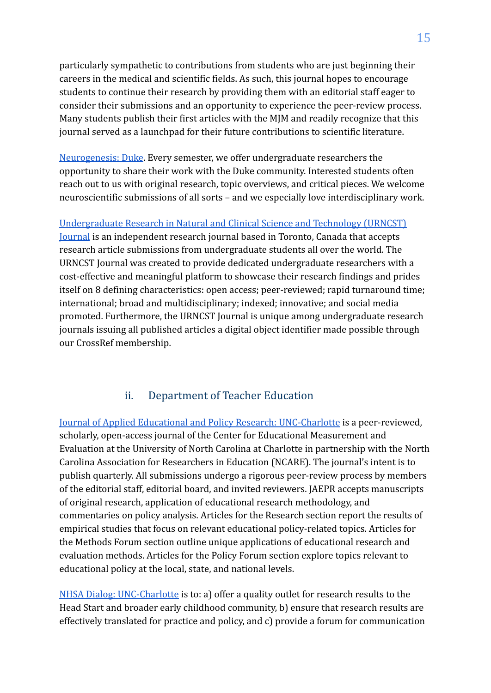particularly sympathetic to contributions from students who are just beginning their careers in the medical and scientific fields. As such, this journal hopes to encourage students to continue their research by providing them with an editorial staff eager to consider their submissions and an opportunity to experience the peer-review process. Many students publish their first articles with the MJM and readily recognize that this journal served as a launchpad for their future contributions to scientific literature.

[Neurogenesis: Duke](https://neurogenesis-journal.com/). Every semester, we offer undergraduate researchers the opportunity to share their work with the Duke community. Interested students often reach out to us with original research, topic overviews, and critical pieces. We welcome neuroscientific submissions of all sorts – and we especially love interdisciplinary work.

[Undergraduate Research in Natural and Clinical Science and Technology \(URNCST\)](https://www.urncst.com) [Journal](https://www.urncst.com) is an independent research journal based in Toronto, Canada that accepts research article submissions from undergraduate students all over the world. The URNCST Journal was created to provide dedicated undergraduate researchers with a cost-effective and meaningful platform to showcase their research findings and prides itself on 8 defining characteristics: open access; peer-reviewed; rapid turnaround time; international; broad and multidisciplinary; indexed; innovative; and social media promoted. Furthermore, the URNCST Journal is unique among undergraduate research journals issuing all published articles a digital object identifier made possible through our CrossRef membership.

#### ii. Department of Teacher Education

[Journal of Applied Educational and Policy Research: UNC-Charlotte](https://journals.uncc.edu/jaepr) is a peer-reviewed, scholarly, open-access journal of the Center for Educational Measurement and Evaluation at the University of North Carolina at Charlotte in partnership with the North Carolina Association for Researchers in Education (NCARE). The journal's intent is to publish quarterly. All submissions undergo a rigorous peer-review process by members of the editorial staff, editorial board, and invited reviewers. JAEPR accepts manuscripts of original research, application of educational research methodology, and commentaries on policy analysis. Articles for the Research section report the results of empirical studies that focus on relevant educational policy-related topics. Articles for the Methods Forum section outline unique applications of educational research and evaluation methods. Articles for the Policy Forum section explore topics relevant to educational policy at the local, state, and national levels.

[NHSA Dialog: UNC-Charlotte](https://journals.uncc.edu/dialog) is to: a) offer a quality outlet for research results to the Head Start and broader early childhood community, b) ensure that research results are effectively translated for practice and policy, and c) provide a forum for communication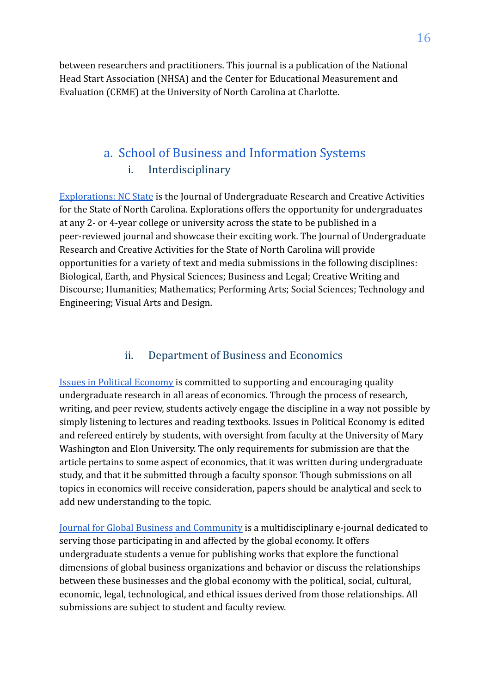between researchers and practitioners. This journal is a publication of the National Head Start Association (NHSA) and the Center for Educational Measurement and Evaluation (CEME) at the University of North Carolina at Charlotte.

## a. School of Business and Information Systems i. Interdisciplinary

[Explorations: NC State](https://explorations.scholasticahq.com/) is the Journal of Undergraduate Research and Creative Activities for the State of North Carolina. Explorations offers the opportunity for undergraduates at any 2- or 4-year college or university across the state to be published in a peer-reviewed journal and showcase their exciting work. The Journal of Undergraduate Research and Creative Activities for the State of North Carolina will provide opportunities for a variety of text and media submissions in the following disciplines: Biological, Earth, and Physical Sciences; Business and Legal; Creative Writing and Discourse; Humanities; Mathematics; Performing Arts; Social Sciences; Technology and Engineering; Visual Arts and Design.

#### ii. Department of Business and Economics

[Issues in Political Economy](https://blogs.elon.edu/ipe/about/) is committed to supporting and encouraging quality undergraduate research in all areas of economics. Through the process of research, writing, and peer review, students actively engage the discipline in a way not possible by simply listening to lectures and reading textbooks. Issues in Political Economy is edited and refereed entirely by students, with oversight from faculty at the University of Mary Washington and Elon University. The only requirements for submission are that the article pertains to some aspect of economics, that it was written during undergraduate study, and that it be submitted through a faculty sponsor. Though submissions on all topics in economics will receive consideration, papers should be analytical and seek to add new understanding to the topic.

[Journal for Global Business and Community](https://jgbc.fiu.edu/index.php/Home) is a multidisciplinary e-journal dedicated to serving those participating in and affected by the global economy. It offers undergraduate students a venue for publishing works that explore the functional dimensions of global business organizations and behavior or discuss the relationships between these businesses and the global economy with the political, social, cultural, economic, legal, technological, and ethical issues derived from those relationships. All submissions are subject to student and faculty review.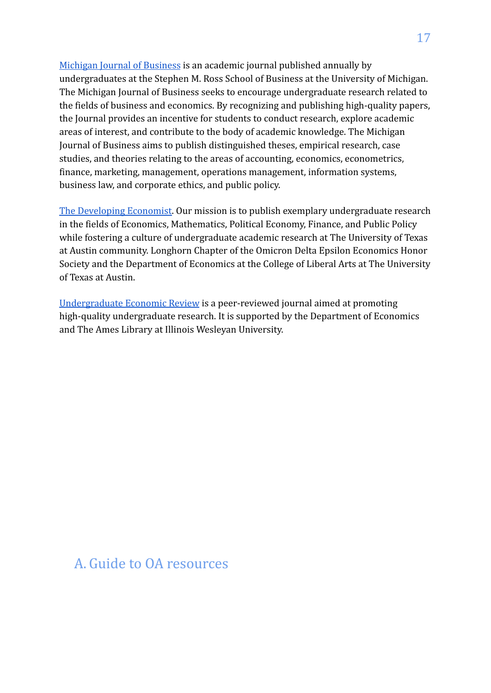[Michigan Journal of Business](http://michiganjb.org/) is an academic journal published annually by undergraduates at the Stephen M. Ross School of Business at the University of Michigan. The Michigan Journal of Business seeks to encourage undergraduate research related to the fields of business and economics. By recognizing and publishing high-quality papers, the Journal provides an incentive for students to conduct research, explore academic areas of interest, and contribute to the body of academic knowledge. The Michigan Journal of Business aims to publish distinguished theses, empirical research, case studies, and theories relating to the areas of accounting, economics, econometrics, finance, marketing, management, operations management, information systems, business law, and corporate ethics, and public policy.

[The Developing Economist.](https://sites.google.com/view/thedeveco) Our mission is to publish exemplary undergraduate research in the fields of Economics, Mathematics, Political Economy, Finance, and Public Policy while fostering a culture of undergraduate academic research at The University of Texas at Austin community. Longhorn Chapter of the Omicron Delta Epsilon Economics Honor Society and the Department of Economics at the College of Liberal Arts at The University of Texas at Austin.

[Undergraduate Economic Review](https://digitalcommons.iwu.edu/uer/) is a peer-reviewed journal aimed at promoting high-quality undergraduate research. It is supported by the Department of Economics and The Ames Library at Illinois Wesleyan University.

## A. Guide to OA resources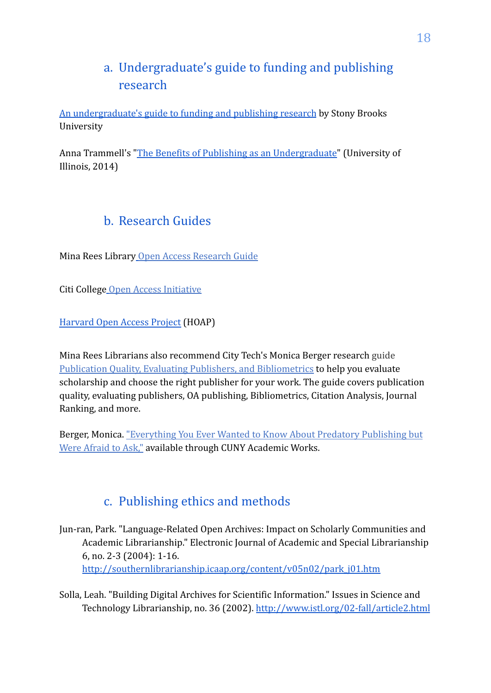# a. Undergraduate's guide to funding and publishing research

[An undergraduate's guide to funding and publishing research](https://guides.library.stonybrook.edu/undergraduate_research) by Stony Brooks University

Anna Trammell's ["The Benefits of Publishing as an Undergraduate](https://publish.illinois.edu/ugresearch/2014/10/14/the-benefits-of-publishing-as-an-undergraduate/)" (University of Illinois, 2014)

# b. Research Guides

Mina Rees Library [Open Access Research Guide](https://libguides.gc.cuny.edu/openaccess)

Citi College [Open Access Initiative](https://citycollegeoer.commons.gc.cuny.edu/)

[Harvard Open Access Project](https://cyber.harvard.edu/research/hoap) (HOAP)

Mina Rees Librarians also recommend City Tech's Monica Berger research guide [Publication Quality, Evaluating Publishers, and Bibliometrics](https://libguides.citytech.cuny.edu/c.php?g=559775&p=3850143) to help you evaluate scholarship and choose the right publisher for your work. The guide covers publication quality, evaluating publishers, OA publishing, Bibliometrics, Citation Analysis, Journal Ranking, and more.

Berger, Monica. ["Everything You Ever Wanted to Know About Predatory Publishing but](http://academicworks.cuny.edu/ny_pubs/141/) [Were Afraid to Ask,"](http://academicworks.cuny.edu/ny_pubs/141/) available through CUNY Academic Works.

# c. Publishing ethics and methods

Jun-ran, Park. "Language-Related Open Archives: Impact on Scholarly Communities and Academic Librarianship." Electronic Journal of Academic and Special Librarianship 6, no. 2-3 (2004): 1-16. [http://southernlibrarianship.icaap.org/content/v05n02/park\\_j01.htm](http://southernlibrarianship.icaap.org/content/v05n02/park_j01.htm)

Solla, Leah. "Building Digital Archives for Scientific Information." Issues in Science and Technology Librarianship, no. 36 (2002). <http://www.istl.org/02-fall/article2.html>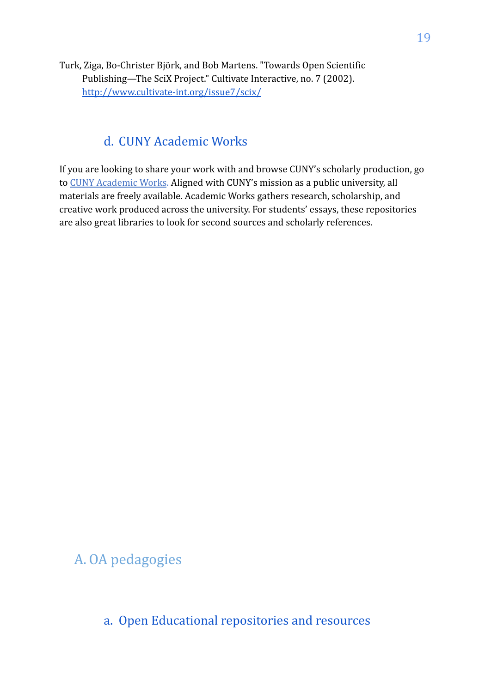Turk, Ziga, Bo-Christer Björk, and Bob Martens. "Towards Open Scientific Publishing—The SciX Project." Cultivate Interactive, no. 7 (2002)[.](http://www.cultivate-int.org/issue7/scix/) <http://www.cultivate-int.org/issue7/scix/>

### d. CUNY Academic Works

If you are looking to share your work with and browse CUNY's scholarly production, go to [CUNY Academic Works](http://academicworks.cuny.edu/). Aligned with CUNY's mission as a public university, all materials are freely available. Academic Works gathers research, scholarship, and creative work produced across the university. For students' essays, these repositories are also great libraries to look for second sources and scholarly references.

# A. OA pedagogies

a. Open Educational repositories and resources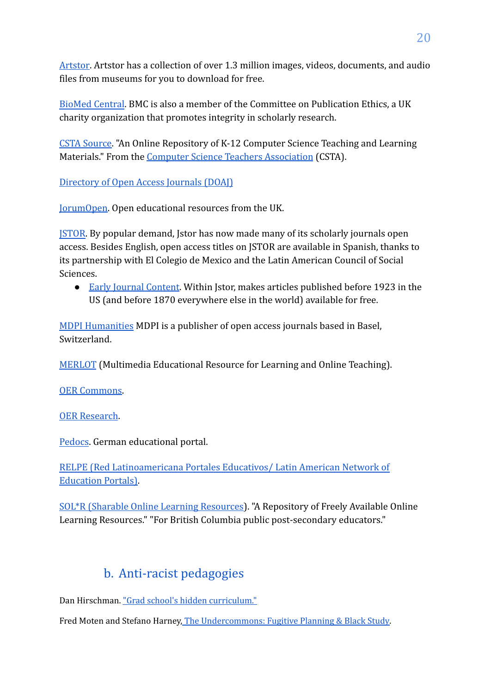[Artstor.](https://www.artstor.org/) Artstor has a collection of over 1.3 million images, videos, documents, and audio files from museums for you to download for free.

[BioMed Central](https://www.biomedcentral.com/). BMC is also a member of the Committee on Publication Ethics, a UK charity organization that promotes integrity in scholarly research.

[CSTA Source.](http://csta.villanova.edu/) "An Online Repository of K-12 Computer Science Teaching and Learning Materials." From the [Computer Science Teachers Association](http://csta.acm.org/) (CSTA).

[Directory of Open Access Journals \(DOAJ\)](https://doaj.org/)

[JorumOpen.](http://www.jorum.ac.uk/searchOptions.html) Open educational resources from the UK.

**[JSTOR.](https://about.jstor.org/oa-and-free/)** By popular demand, Jstor has now made many of its scholarly journals open access. Besides English, open access titles on JSTOR are available in Spanish, thanks to its partnership with El Colegio de Mexico and the Latin American Council of Social Sciences.

● [Early Journal Content.](https://www.about.jstor.org/ejc/) Within Jstor, makes articles published before 1923 in the US (and before 1870 everywhere else in the world) available for free.

[MDPI Humanities](https://www.mdpi.com/journal/humanities) MDPI is a publisher of open access journals based in Basel, Switzerland.

[MERLOT](http://taste.merlot.org/index.html) (Multimedia Educational Resource for Learning and Online Teaching).

[OER Commons](http://www.oercommons.org/).

[OER Research](http://oer.issuelab.org/home/).

[Pedocs.](http://www.pedocs.de/index.php?la=en/) German educational portal.

[RELPE \(Red Latinoamericana Portales Educativos/ Latin American Network of](http://www.relpe.org/) [Education Portals\)](http://www.relpe.org/).

[SOL\\*R \(Sharable Online Learning Resources\)](http://solr.bccampus.ca/cms2/). "A Repository of Freely Available Online Learning Resources." "For British Columbia public post-secondary educators."

# b. Anti-racist pedagogies

Dan Hirschman. ["Grad school's hidden curriculum."](https://scatter.wordpress.com/2018/07/24/guest-post-grad-schools-hidden-curriculum/)

Fred Moten and Stefano Harney, [The Undercommons: Fugitive Planning & Black Study.](https://www.minorcompositions.info/wp-content/uploads/2013/04/undercommons-web.pdf)